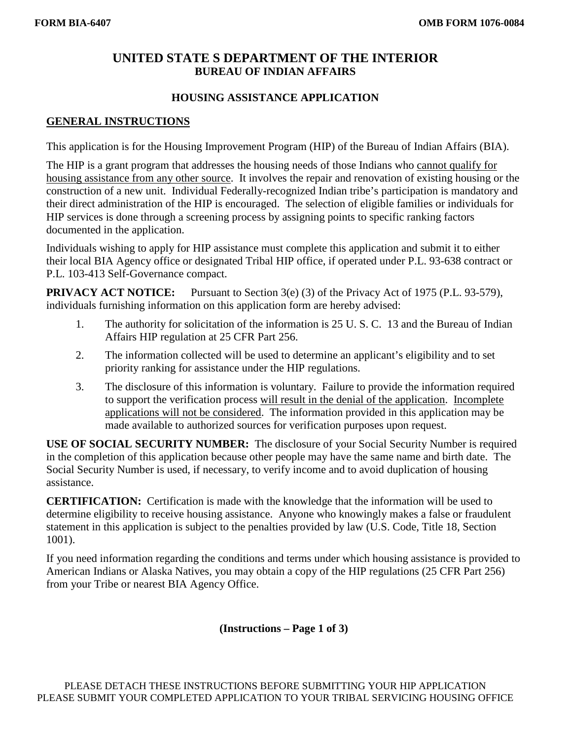# **UNITED STATE S DEPARTMENT OF THE INTERIOR BUREAU OF INDIAN AFFAIRS**

### **HOUSING ASSISTANCE APPLICATION**

#### **GENERAL INSTRUCTIONS**

This application is for the Housing Improvement Program (HIP) of the Bureau of Indian Affairs (BIA).

The HIP is a grant program that addresses the housing needs of those Indians who cannot qualify for housing assistance from any other source. It involves the repair and renovation of existing housing or the construction of a new unit. Individual Federally-recognized Indian tribe's participation is mandatory and their direct administration of the HIP is encouraged. The selection of eligible families or individuals for HIP services is done through a screening process by assigning points to specific ranking factors documented in the application.

Individuals wishing to apply for HIP assistance must complete this application and submit it to either their local BIA Agency office or designated Tribal HIP office, if operated under P.L. 93-638 contract or P.L. 103-413 Self-Governance compact.

**PRIVACY ACT NOTICE:** Pursuant to Section 3(e) (3) of the Privacy Act of 1975 (P.L. 93-579), individuals furnishing information on this application form are hereby advised:

- 1. The authority for solicitation of the information is 25 U. S. C. 13 and the Bureau of Indian Affairs HIP regulation at 25 CFR Part 256.
- 2. The information collected will be used to determine an applicant's eligibility and to set priority ranking for assistance under the HIP regulations.
- 3. The disclosure of this information is voluntary. Failure to provide the information required to support the verification process will result in the denial of the application. Incomplete applications will not be considered. The information provided in this application may be made available to authorized sources for verification purposes upon request.

**USE OF SOCIAL SECURITY NUMBER:** The disclosure of your Social Security Number is required in the completion of this application because other people may have the same name and birth date. The Social Security Number is used, if necessary, to verify income and to avoid duplication of housing assistance.

**CERTIFICATION:** Certification is made with the knowledge that the information will be used to determine eligibility to receive housing assistance. Anyone who knowingly makes a false or fraudulent statement in this application is subject to the penalties provided by law (U.S. Code, Title 18, Section 1001).

If you need information regarding the conditions and terms under which housing assistance is provided to American Indians or Alaska Natives, you may obtain a copy of the HIP regulations (25 CFR Part 256) from your Tribe or nearest BIA Agency Office.

**(Instructions – Page 1 of 3)**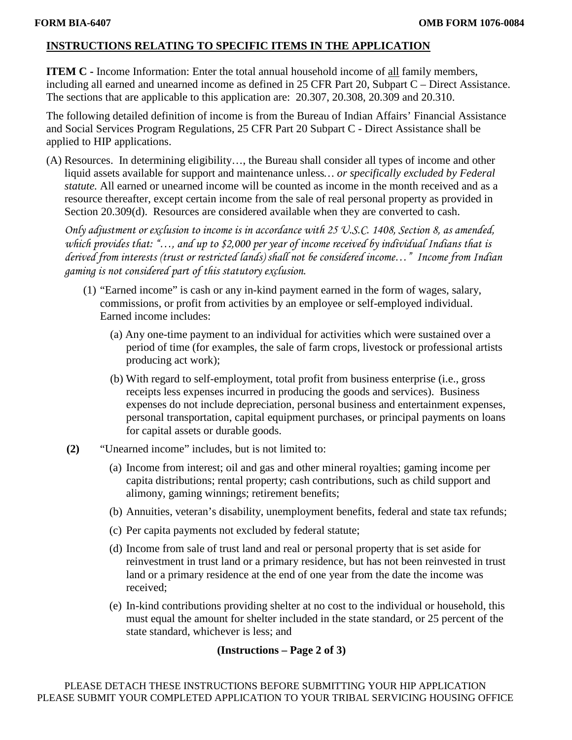# **INSTRUCTIONS RELATING TO SPECIFIC ITEMS IN THE APPLICATION**

**ITEM C** - Income Information: Enter the total annual household income of all family members, including all earned and unearned income as defined in 25 CFR Part 20, Subpart C – Direct Assistance. The sections that are applicable to this application are: 20.307, 20.308, 20.309 and 20.310.

The following detailed definition of income is from the Bureau of Indian Affairs' Financial Assistance and Social Services Program Regulations, 25 CFR Part 20 Subpart C - Direct Assistance shall be applied to HIP applications.

(A) Resources. In determining eligibility…, the Bureau shall consider all types of income and other liquid assets available for support and maintenance unless*… or specifically excluded by Federal statute.* All earned or unearned income will be counted as income in the month received and as a resource thereafter, except certain income from the sale of real personal property as provided in Section 20.309(d). Resources are considered available when they are converted to cash.

*Only adjustment or exclusion to income is in accordance with 25 U.S.C. 1408, Section 8, as amended, which provides that: "…, and up to \$2,000 per year of income received by individual Indians that is derived from interests (trust or restricted lands) shall not be considered income…" Income from Indian gaming is not considered part of this statutory exclusion.* 

- (1) "Earned income" is cash or any in-kind payment earned in the form of wages, salary, commissions, or profit from activities by an employee or self-employed individual. Earned income includes:
	- (a) Any one-time payment to an individual for activities which were sustained over a period of time (for examples, the sale of farm crops, livestock or professional artists producing act work);
	- (b) With regard to self-employment, total profit from business enterprise (i.e., gross receipts less expenses incurred in producing the goods and services). Business expenses do not include depreciation, personal business and entertainment expenses, personal transportation, capital equipment purchases, or principal payments on loans for capital assets or durable goods.
- **(2)** "Unearned income" includes, but is not limited to:
	- (a) Income from interest; oil and gas and other mineral royalties; gaming income per capita distributions; rental property; cash contributions, such as child support and alimony, gaming winnings; retirement benefits;
	- (b) Annuities, veteran's disability, unemployment benefits, federal and state tax refunds;
	- (c) Per capita payments not excluded by federal statute;
	- (d) Income from sale of trust land and real or personal property that is set aside for reinvestment in trust land or a primary residence, but has not been reinvested in trust land or a primary residence at the end of one year from the date the income was received;
	- (e) In-kind contributions providing shelter at no cost to the individual or household, this must equal the amount for shelter included in the state standard, or 25 percent of the state standard, whichever is less; and

## **(Instructions – Page 2 of 3)**